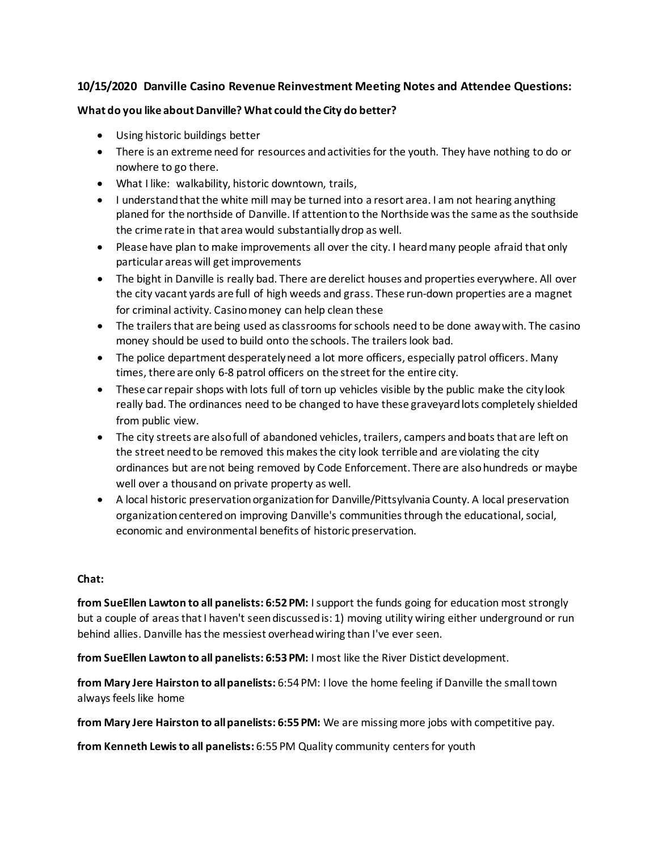## **10/15/2020 Danville Casino Revenue Reinvestment Meeting Notes and Attendee Questions:**

#### **What do you like about Danville? What could the City do better?**

- Using historic buildings better
- There is an extreme need for resources and activities for the youth. They have nothing to do or nowhere to go there.
- What I like: walkability, historic downtown, trails,
- I understand that the white mill may be turned into a resort area. I am not hearing anything planed for the northside of Danville. If attention to the Northside was the same as the southside the crime rate in that area would substantially drop as well.
- Please have plan to make improvements all over the city. I heard many people afraid that only particular areas will get improvements
- The bight in Danville is really bad. There are derelict houses and properties everywhere. All over the city vacant yards are full of high weeds and grass. These run-down properties are a magnet for criminal activity. Casino money can help clean these
- The trailers that are being used as classrooms for schools need to be done away with. The casino money should be used to build onto the schools. The trailers look bad.
- The police department desperately need a lot more officers, especially patrol officers. Many times, there are only 6-8 patrol officers on the street for the entire city.
- These car repair shops with lots full of torn up vehicles visible by the public make the city look really bad. The ordinances need to be changed to have these graveyardlots completely shielded from public view.
- The city streets are also full of abandoned vehicles, trailers, campers and boats that are left on the street need to be removed this makes the city look terrible and are violating the city ordinances but are not being removed by Code Enforcement. There are alsohundreds or maybe well over a thousand on private property as well.
- A local historic preservation organization for Danville/Pittsylvania County. A local preservation organization centered on improving Danville's communities through the educational, social, economic and environmental benefits of historic preservation.

## **Chat:**

**from SueEllen Lawton to all panelists: 6:52 PM:** I support the funds going for education most strongly but a couple of areas that I haven't seen discussed is: 1) moving utility wiring either underground or run behind allies. Danville has the messiest overhead wiring than I've ever seen.

**from SueEllen Lawton to all panelists: 6:53 PM:** I most like the River Distict development.

**from Mary Jere Hairston to all panelists:** 6:54 PM: I love the home feeling if Danville the small town always feels like home

**from Mary Jere Hairston to all panelists: 6:55 PM:** We are missing more jobs with competitive pay.

**from Kenneth Lewis to all panelists:** 6:55 PM Quality community centers for youth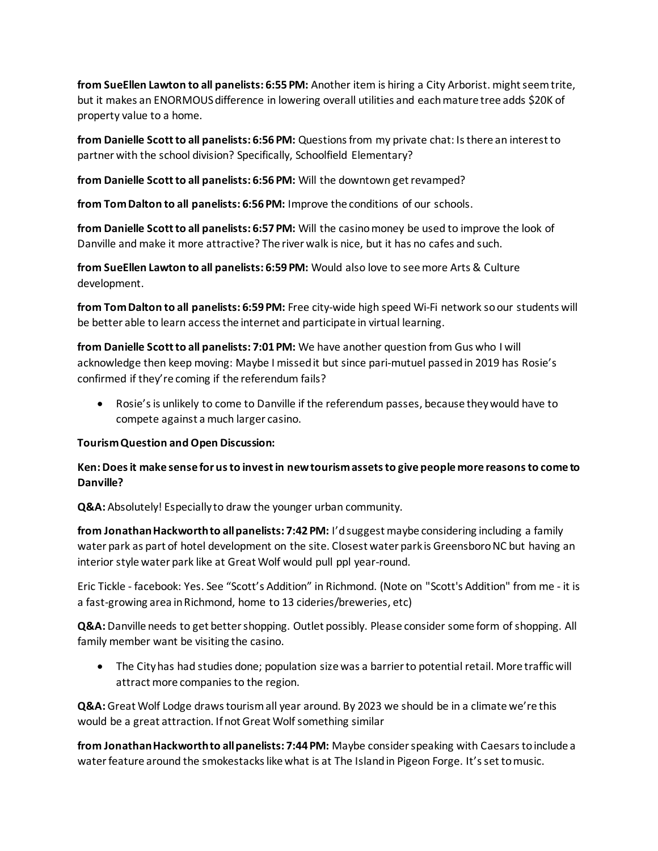**from SueEllen Lawton to all panelists: 6:55 PM:** Another item is hiring a City Arborist. might seem trite, but it makes an ENORMOUS difference in lowering overall utilities and each mature tree adds \$20K of property value to a home.

**from Danielle Scott to all panelists: 6:56 PM:** Questions from my private chat: Is there an interest to partner with the school division? Specifically, Schoolfield Elementary?

**from Danielle Scott to all panelists: 6:56 PM:** Will the downtown get revamped?

**from Tom Dalton to all panelists: 6:56 PM:** Improve the conditions of our schools.

**from Danielle Scott to all panelists: 6:57 PM:** Will the casino money be used to improve the look of Danville and make it more attractive? The river walk is nice, but it has no cafes and such.

**from SueEllen Lawton to all panelists: 6:59 PM:** Would also love to see more Arts & Culture development.

**from Tom Dalton to all panelists: 6:59 PM:** Free city-wide high speed Wi-Fi network so our students will be better able to learn access the internet and participate in virtual learning.

**from Danielle Scott to all panelists: 7:01 PM:** We have another question from Gus who I will acknowledge then keep moving: Maybe I missed it but since pari-mutuel passed in 2019 has Rosie's confirmed if they're coming if the referendum fails?

• Rosie's is unlikely to come to Danville if the referendum passes, because they would have to compete against a much larger casino.

#### **Tourism Question and Open Discussion:**

## **Ken:Does it make sense for us to invest in new tourism assets to give people more reasons to come to Danville?**

**Q&A:** Absolutely! Especially to draw the younger urban community.

**from Jonathan Hackworth to all panelists: 7:42 PM:** I'd suggest maybe considering including a family water park as part of hotel development on the site. Closest water park is GreensboroNC but having an interior style water park like at Great Wolf would pull ppl year-round.

Eric Tickle - facebook: Yes. See "Scott's Addition" in Richmond. (Note on "Scott's Addition" from me - it is a fast-growing area in Richmond, home to 13 cideries/breweries, etc)

**Q&A:**Danville needs to get better shopping. Outlet possibly. Please consider some form of shopping. All family member want be visiting the casino.

• The City has had studies done; population size was a barrier to potential retail. More traffic will attract more companies to the region.

**Q&A:**Great Wolf Lodge draws tourism all year around. By 2023 we should be in a climate we're this would be a great attraction. If not Great Wolf something similar

**from Jonathan Hackworth to all panelists: 7:44 PM:** Maybe consider speaking with Caesars to include a water feature around the smokestacks like what is at The Island in Pigeon Forge. It's set to music.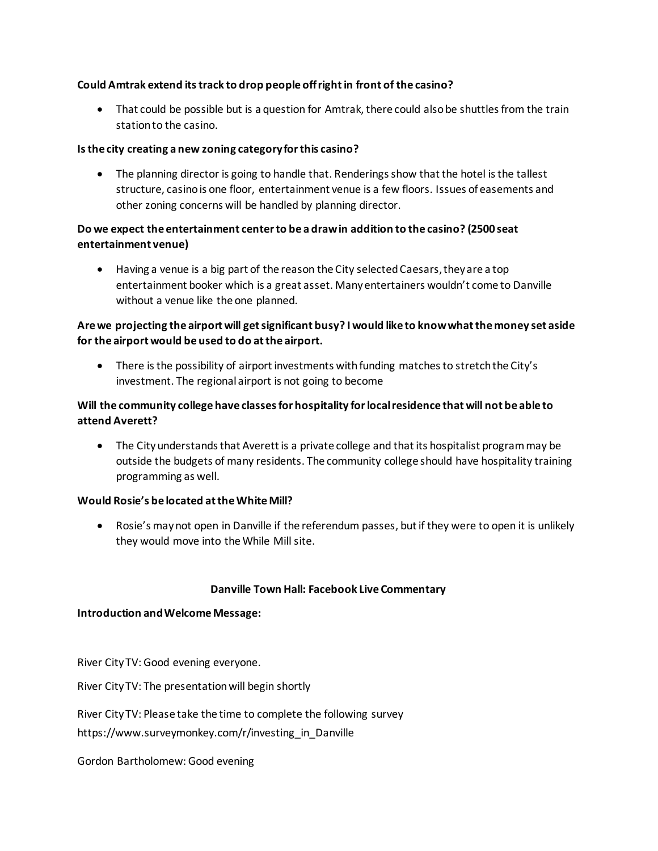### **Could Amtrak extend its track to drop people off right in front of the casino?**

• That could be possible but is a question for Amtrak, there could also be shuttles from the train station to the casino.

#### **Is the city creating a new zoning category for this casino?**

• The planning director is going to handle that. Renderings show that the hotel is the tallest structure, casino is one floor, entertainment venue is a few floors. Issues of easements and other zoning concerns will be handled by planning director.

## **Do we expect the entertainment center to be a drawin addition to the casino? (2500 seat entertainment venue)**

• Having a venue is a big part of the reason the City selected Caesars, they are a top entertainment booker which is a great asset. Many entertainers wouldn't come to Danville without a venue like the one planned.

## **Are we projecting the airport will get significant busy? I would like to know what the money set aside for the airport would be used to do at the airport.**

• There is the possibility of airport investments with funding matches to stretch the City's investment. The regional airport is not going to become

## **Will the community college have classes for hospitality for local residence that will not be able to attend Averett?**

• The City understands that Averett is a private college and that its hospitalist program may be outside the budgets of many residents. The community college should have hospitality training programming as well.

#### **Would Rosie's be located at the White Mill?**

• Rosie's may not open in Danville if the referendum passes, but if they were to open it is unlikely they would move into the While Mill site.

#### **Danville Town Hall: Facebook Live Commentary**

#### **Introduction and Welcome Message:**

River City TV: Good evening everyone.

River City TV: The presentation will begin shortly

River City TV: Please take the time to complete the following survey

[https://www.surveymonkey.com/r/investing\\_in\\_Danville](https://www.surveymonkey.com/r/investing_in_Danville?fbclid=IwAR2mlSAMrryvJG0rGOw6Xp1ZuMpyIadE8URzjeCHIYS_-Eh_aXDmH6lDClY)

Gordon Bartholomew: Good evening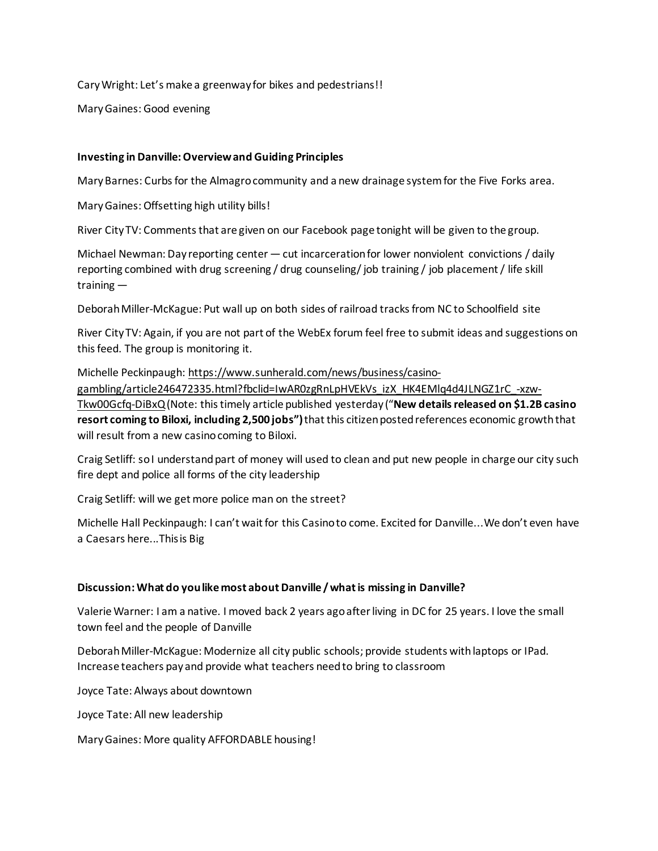Cary Wright: Let's make a greenway for bikes and pedestrians!!

Mary Gaines: Good evening

#### **Investing in Danville: Overview and Guiding Principles**

Mary Barnes: Curbs for the Almagro community and a new drainage system for the Five Forks area.

Mary Gaines: Offsetting high utility bills!

River City TV: Comments that are given on our Facebook page tonight will be given to the group.

Michael Newman: Day reporting center — cut incarceration for lower nonviolent convictions / daily reporting combined with drug screening / drug counseling/ job training / job placement / life skill training —

Deborah Miller-McKague: Put wall up on both sides of railroad tracks from NC to Schoolfield site

River City TV: Again, if you are not part of the WebEx forum feel free to submit ideas and suggestions on this feed. The group is monitoring it.

Michelle Peckinpaugh: [https://www.sunherald.com/news/business/casino-](https://www.sunherald.com/news/business/casino-gambling/article246472335.html?fbclid=IwAR0zgRnLpHVEkVs_izX_HK4EMlq4d4JLNGZ1rC_-xzw-Tkw00Gcfq-DiBxQ)

[gambling/article246472335.html?fbclid=IwAR0zgRnLpHVEkVs\\_izX\\_HK4EMlq4d4JLNGZ1rC\\_-xzw-](https://www.sunherald.com/news/business/casino-gambling/article246472335.html?fbclid=IwAR0zgRnLpHVEkVs_izX_HK4EMlq4d4JLNGZ1rC_-xzw-Tkw00Gcfq-DiBxQ)[Tkw00Gcfq-DiBxQ](https://www.sunherald.com/news/business/casino-gambling/article246472335.html?fbclid=IwAR0zgRnLpHVEkVs_izX_HK4EMlq4d4JLNGZ1rC_-xzw-Tkw00Gcfq-DiBxQ)(Note: this timely article published yesterday ("**New details released on \$1.2B casino resort coming to Biloxi, including 2,500 jobs")** that this citizen posted references economic growth that will result from a new casino coming to Biloxi.

Craig Setliff: so I understand part of money will used to clean and put new people in charge our city such fire dept and police all forms of the city leadership

Craig Setliff: will we get more police man on the street?

Michelle Hall Peckinpaugh: I can't wait for this Casino to come. Excited for Danville...We don't even have a Caesars here...Thisis Big

#### **Discussion: What do you like most about Danville / what is missing in Danville?**

Valerie Warner: I am a native. I moved back 2 years ago after living in DC for 25 years. I love the small town feel and the people of Danville

Deborah Miller-McKague: Modernize all city public schools; provide students with laptops or IPad. Increase teachers pay and provide what teachers need to bring to classroom

Joyce Tate: Always about downtown

Joyce Tate: All new leadership

Mary Gaines: More quality AFFORDABLE housing!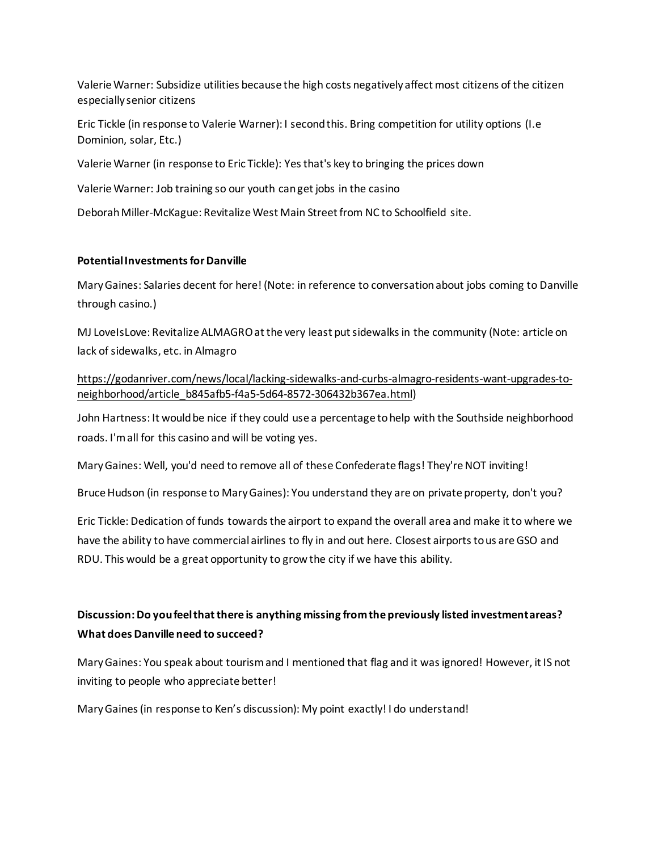Valerie Warner: Subsidize utilities because the high costs negatively affect most citizens of the citizen especially senior citizens

Eric Tickle (in response to Valerie Warner): I second this. Bring competition for utility options (I.e Dominion, solar, Etc.)

Valerie Warner (in response to Eric Tickle): Yes that's key to bringing the prices down

Valerie Warner: Job training so our youth can get jobs in the casino

Deborah Miller-McKague: Revitalize West Main Street from NC to Schoolfield site.

### **Potential Investments for Danville**

Mary Gaines: Salaries decent for here! (Note: in reference to conversation about jobs coming to Danville through casino.)

MJ LoveIsLove: Revitalize ALMAGRO at the very least put sidewalks in the community (Note: article on lack of sidewalks, etc. in Almagro

[https://godanriver.com/news/local/lacking-sidewalks-and-curbs-almagro-residents-want-upgrades-to](https://godanriver.com/news/local/lacking-sidewalks-and-curbs-almagro-residents-want-upgrades-to-neighborhood/article_b845afb5-f4a5-5d64-8572-306432b367ea.html)[neighborhood/article\\_b845afb5-f4a5-5d64-8572-306432b367ea.html\)](https://godanriver.com/news/local/lacking-sidewalks-and-curbs-almagro-residents-want-upgrades-to-neighborhood/article_b845afb5-f4a5-5d64-8572-306432b367ea.html)

John Hartness: It would be nice if they could use a percentage to help with the Southside neighborhood roads. I'm all for this casino and will be voting yes.

Mary Gaines: Well, you'd need to remove all of these Confederate flags! They're NOT inviting!

Bruce Hudson (in response to Mary Gaines): You understand they are on private property, don't you?

Eric Tickle: Dedication of funds towards the airport to expand the overall area and make it to where we have the ability to have commercial airlines to fly in and out here. Closest airports to us are GSO and RDU. This would be a great opportunity to grow the city if we have this ability.

# **Discussion: Do you feel that there is anything missing from the previously listed investment areas? What does Danville need to succeed?**

Mary Gaines: You speak about tourism and I mentioned that flag and it was ignored! However, it IS not inviting to people who appreciate better!

Mary Gaines (in response to Ken's discussion): My point exactly! I do understand!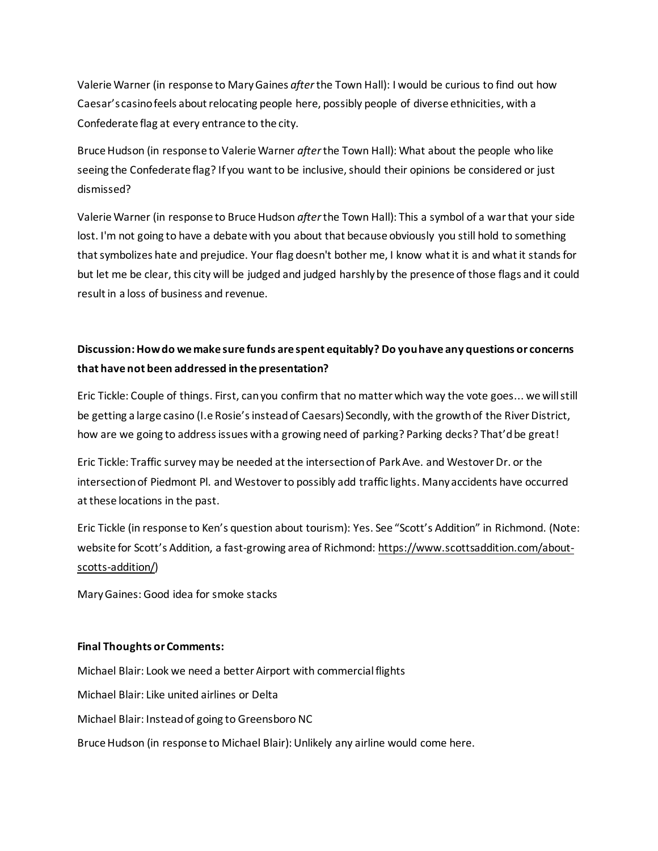Valerie Warner (in response to Mary Gaines *after* the Town Hall): I would be curious to find out how Caesar's casino feels about relocating people here, possibly people of diverse ethnicities, with a Confederate flag at every entrance to the city.

Bruce Hudson (in response to Valerie Warner *after* the Town Hall): What about the people who like seeing the Confederate flag? If you want to be inclusive, should their opinions be considered or just dismissed?

Valerie Warner (in response to Bruce Hudson *after* the Town Hall): This a symbol of a war that your side lost. I'm not going to have a debate with you about that because obviously you still hold to something that symbolizes hate and prejudice. Your flag doesn't bother me, I know what it is and what it stands for but let me be clear, this city will be judged and judged harshly by the presence of those flags and it could result in a loss of business and revenue.

# **Discussion: How do we make sure funds are spent equitably? Do you have any questions or concerns that have not been addressed in the presentation?**

Eric Tickle: Couple of things. First, can you confirm that no matter which way the vote goes... we will still be getting a large casino (I.e Rosie's instead of Caesars) Secondly, with the growth of the River District, how are we going to address issues with a growing need of parking? Parking decks? That'd be great!

Eric Tickle: Traffic survey may be needed at the intersection of Park Ave. and Westover Dr. or the intersection of Piedmont Pl. and Westover to possibly add traffic lights. Many accidents have occurred at these locations in the past.

Eric Tickle (in response to Ken's question about tourism): Yes. See "Scott's Addition" in Richmond. (Note: website for Scott's Addition, a fast-growing area of Richmond: [https://www.scottsaddition.com/about](https://www.scottsaddition.com/about-scotts-addition/)[scotts-addition/\)](https://www.scottsaddition.com/about-scotts-addition/)

Mary Gaines: Good idea for smoke stacks

#### **Final Thoughts or Comments:**

Michael Blair: Look we need a better Airport with commercial flights Michael Blair: Like united airlines or Delta Michael Blair: Instead of going to Greensboro NC Bruce Hudson (in response to Michael Blair): Unlikely any airline would come here.